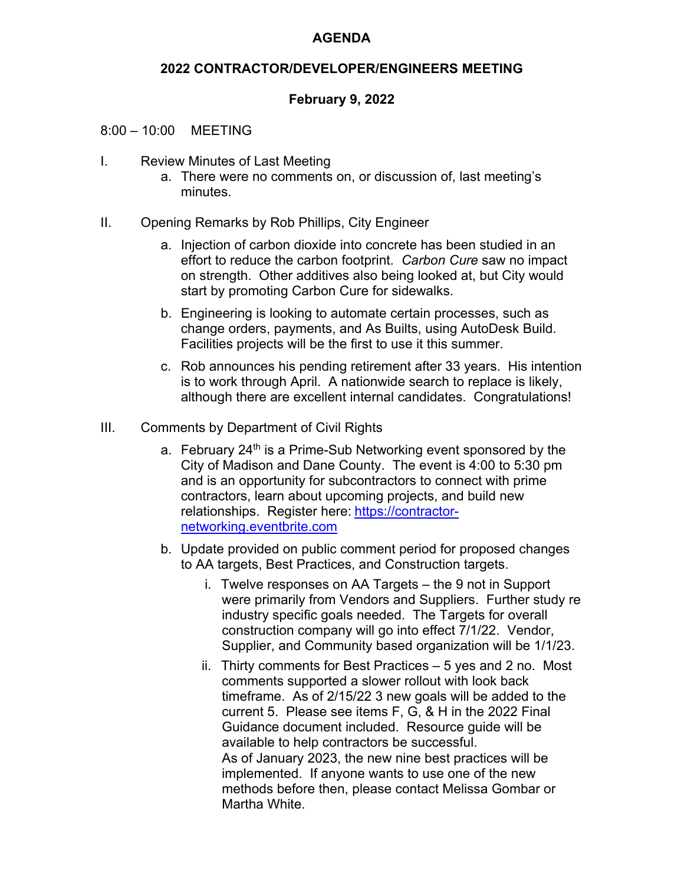# **AGENDA**

### **2022 CONTRACTOR/DEVELOPER/ENGINEERS MEETING**

# **February 9, 2022**

#### 8:00 – 10:00 MEETING

- I. Review Minutes of Last Meeting
	- a. There were no comments on, or discussion of, last meeting's minutes.
- II. Opening Remarks by Rob Phillips, City Engineer
	- a. Injection of carbon dioxide into concrete has been studied in an effort to reduce the carbon footprint. *Carbon Cure* saw no impact on strength. Other additives also being looked at, but City would start by promoting Carbon Cure for sidewalks.
	- b. Engineering is looking to automate certain processes, such as change orders, payments, and As Builts, using AutoDesk Build. Facilities projects will be the first to use it this summer.
	- c. Rob announces his pending retirement after 33 years. His intention is to work through April. A nationwide search to replace is likely, although there are excellent internal candidates. Congratulations!
- III. Comments by Department of Civil Rights
	- a. February 24<sup>th</sup> is a Prime-Sub Networking event sponsored by the City of Madison and Dane County. The event is 4:00 to 5:30 pm and is an opportunity for subcontractors to connect with prime contractors, learn about upcoming projects, and build new relationships. Register here: https://contractornetworking.eventbrite.com
	- b. Update provided on public comment period for proposed changes to AA targets, Best Practices, and Construction targets.
		- i. Twelve responses on AA Targets the 9 not in Support were primarily from Vendors and Suppliers. Further study re industry specific goals needed. The Targets for overall construction company will go into effect 7/1/22. Vendor, Supplier, and Community based organization will be 1/1/23.
		- ii. Thirty comments for Best Practices 5 yes and 2 no. Most comments supported a slower rollout with look back timeframe. As of 2/15/22 3 new goals will be added to the current 5. Please see items F, G, & H in the 2022 Final Guidance document included. Resource guide will be available to help contractors be successful. As of January 2023, the new nine best practices will be implemented. If anyone wants to use one of the new methods before then, please contact Melissa Gombar or Martha White.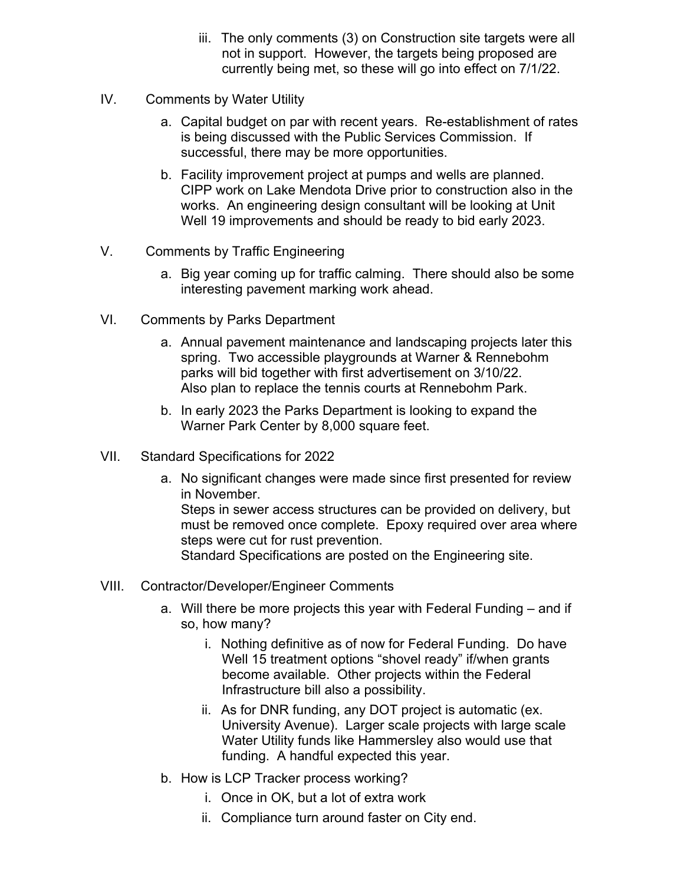- iii. The only comments (3) on Construction site targets were all not in support. However, the targets being proposed are currently being met, so these will go into effect on 7/1/22.
- IV. Comments by Water Utility
	- a. Capital budget on par with recent years. Re-establishment of rates is being discussed with the Public Services Commission. If successful, there may be more opportunities.
	- b. Facility improvement project at pumps and wells are planned. CIPP work on Lake Mendota Drive prior to construction also in the works. An engineering design consultant will be looking at Unit Well 19 improvements and should be ready to bid early 2023.
- V. Comments by Traffic Engineering
	- a. Big year coming up for traffic calming. There should also be some interesting pavement marking work ahead.
- VI. Comments by Parks Department
	- a. Annual pavement maintenance and landscaping projects later this spring. Two accessible playgrounds at Warner & Rennebohm parks will bid together with first advertisement on 3/10/22. Also plan to replace the tennis courts at Rennebohm Park.
	- b. In early 2023 the Parks Department is looking to expand the Warner Park Center by 8,000 square feet.
- VII. Standard Specifications for 2022
	- a. No significant changes were made since first presented for review in November. Steps in sewer access structures can be provided on delivery, but must be removed once complete. Epoxy required over area where steps were cut for rust prevention. Standard Specifications are posted on the Engineering site.
- VIII. Contractor/Developer/Engineer Comments
	- a. Will there be more projects this year with Federal Funding and if so, how many?
		- i. Nothing definitive as of now for Federal Funding. Do have Well 15 treatment options "shovel ready" if/when grants become available. Other projects within the Federal Infrastructure bill also a possibility.
		- ii. As for DNR funding, any DOT project is automatic (ex. University Avenue). Larger scale projects with large scale Water Utility funds like Hammersley also would use that funding. A handful expected this year.
	- b. How is LCP Tracker process working?
		- i. Once in OK, but a lot of extra work
		- ii. Compliance turn around faster on City end.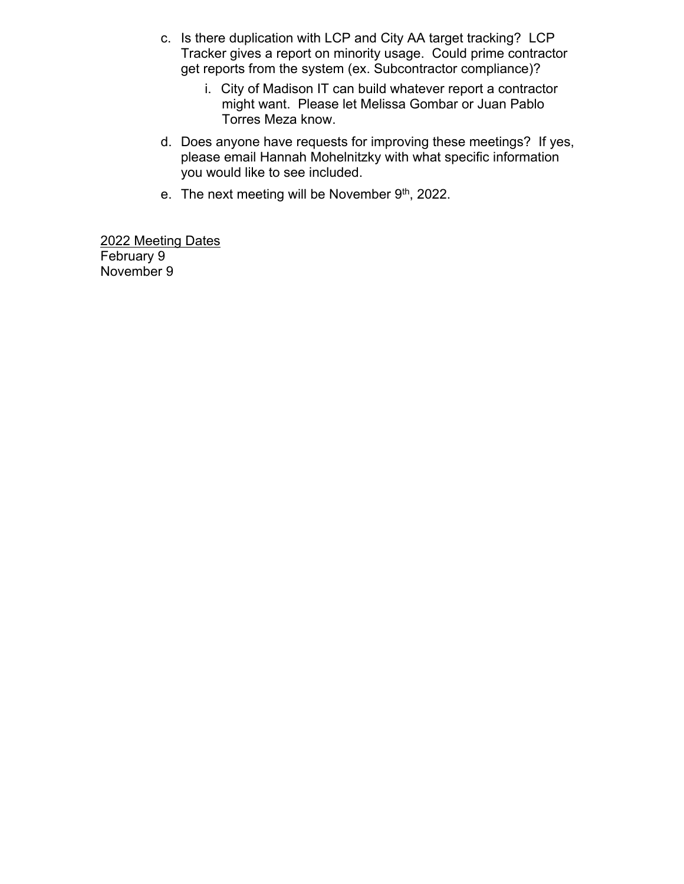- c. Is there duplication with LCP and City AA target tracking? LCP Tracker gives a report on minority usage. Could prime contractor get reports from the system (ex. Subcontractor compliance)?
	- i. City of Madison IT can build whatever report a contractor might want. Please let Melissa Gombar or Juan Pablo Torres Meza know.
- d. Does anyone have requests for improving these meetings? If yes, please email Hannah Mohelnitzky with what specific information you would like to see included.
- e. The next meeting will be November 9th, 2022.

2022 Meeting Dates February 9 November 9